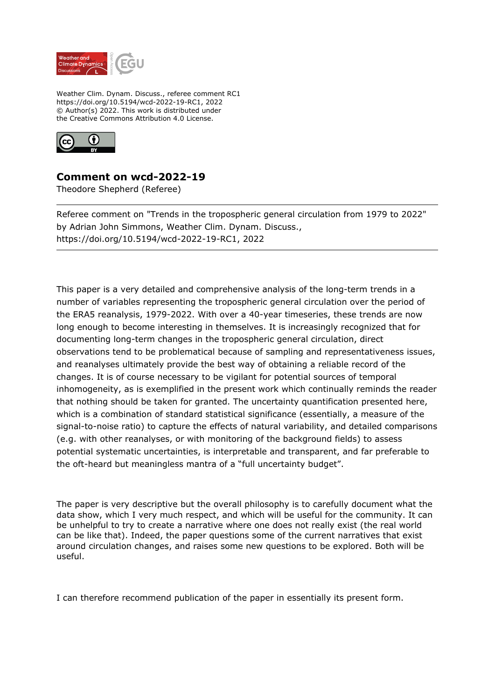

Weather Clim. Dynam. Discuss., referee comment RC1 https://doi.org/10.5194/wcd-2022-19-RC1, 2022 © Author(s) 2022. This work is distributed under the Creative Commons Attribution 4.0 License.



## **Comment on wcd-2022-19**

Theodore Shepherd (Referee)

Referee comment on "Trends in the tropospheric general circulation from 1979 to 2022" by Adrian John Simmons, Weather Clim. Dynam. Discuss., https://doi.org/10.5194/wcd-2022-19-RC1, 2022

This paper is a very detailed and comprehensive analysis of the long-term trends in a number of variables representing the tropospheric general circulation over the period of the ERA5 reanalysis, 1979-2022. With over a 40-year timeseries, these trends are now long enough to become interesting in themselves. It is increasingly recognized that for documenting long-term changes in the tropospheric general circulation, direct observations tend to be problematical because of sampling and representativeness issues, and reanalyses ultimately provide the best way of obtaining a reliable record of the changes. It is of course necessary to be vigilant for potential sources of temporal inhomogeneity, as is exemplified in the present work which continually reminds the reader that nothing should be taken for granted. The uncertainty quantification presented here, which is a combination of standard statistical significance (essentially, a measure of the signal-to-noise ratio) to capture the effects of natural variability, and detailed comparisons (e.g. with other reanalyses, or with monitoring of the background fields) to assess potential systematic uncertainties, is interpretable and transparent, and far preferable to the oft-heard but meaningless mantra of a "full uncertainty budget".

The paper is very descriptive but the overall philosophy is to carefully document what the data show, which I very much respect, and which will be useful for the community. It can be unhelpful to try to create a narrative where one does not really exist (the real world can be like that). Indeed, the paper questions some of the current narratives that exist around circulation changes, and raises some new questions to be explored. Both will be useful.

I can therefore recommend publication of the paper in essentially its present form.